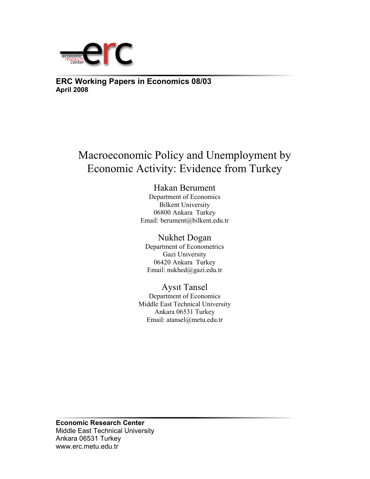

**ERC Working Papers in Economics 08/03 April 2008**

# Macroeconomic Policy and Unemployment by Economic Activity: Evidence from Turkey

### Hakan Berument

Department of Economics Bilkent University 06800 Ankara Turkey Email: berument@bilkent.edu.tr

Nukhet Dogan Department of Econometrics Gazi University 06420 Ankara Turkey Email: nukhed@gazi.edu.tr

Aysıt Tansel Department of Economics Middle East Technical University Ankara 06531 Turkey Email: atansel@metu.edu.tr

**Economic Research Center**  Middle East Technical University Ankara 06531 Turkey www.erc.metu.edu.tr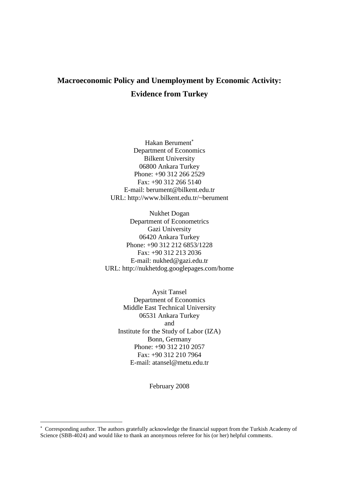## **Macroeconomic Policy and Unemployment by Economic Activity: Evidence from Turkey**

Hakan Berument Department of Economics Bilkent University 06800 Ankara Turkey Phone: +90 312 266 2529 Fax: +90 312 266 5140 E-mail: [berument@bilkent.edu.tr](mailto:berument@bilkent.edu.tr) URL: http://www.bilkent.edu.tr/~berument

Nukhet Dogan Department of Econometrics Gazi University 06420 Ankara Turkey Phone: +90 312 212 6853/1228 Fax: +90 312 213 2036 E-mail: nukhed@gazi.edu.tr URL: http://nukhetdog.googlepages.com/home

Aysit Tansel Department of Economics Middle East Technical University 06531 Ankara Turkey and Institute for the Study of Labor (IZA) Bonn, Germany Phone: +90 312 210 2057 Fax: +90 312 210 7964 E-mail: atansel@metu.edu.tr

February 2008

Corresponding author. The authors gratefully acknowledge the financial support from the Turkish Academy of Science (SBB-4024) and would like to thank an anonymous referee for his (or her) helpful comments.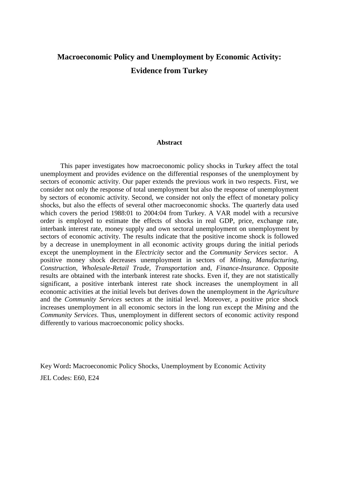## **Macroeconomic Policy and Unemployment by Economic Activity: Evidence from Turkey**

#### **Abstract**

This paper investigates how macroeconomic policy shocks in Turkey affect the total unemployment and provides evidence on the differential responses of the unemployment by sectors of economic activity. Our paper extends the previous work in two respects. First, we consider not only the response of total unemployment but also the response of unemployment by sectors of economic activity. Second, we consider not only the effect of monetary policy shocks, but also the effects of several other macroeconomic shocks. The quarterly data used which covers the period 1988:01 to 2004:04 from Turkey. A VAR model with a recursive order is employed to estimate the effects of shocks in real GDP, price, exchange rate, interbank interest rate, money supply and own sectoral unemployment on unemployment by sectors of economic activity. The results indicate that the positive income shock is followed by a decrease in unemployment in all economic activity groups during the initial periods except the unemployment in the *Electricity* sector and the *Community Services* sector. A positive money shock decreases unemployment in sectors of *Mining, Manufacturing, Construction, Wholesale-Retail Trade, Transportation* and*, Finance-Insurance*. Opposite results are obtained with the interbank interest rate shocks. Even if, they are not statistically significant, a positive interbank interest rate shock increases the unemployment in all economic activities at the initial levels but derives down the unemployment in the *Agriculture* and the *Community Services* sectors at the initial level. Moreover, a positive price shock increases unemployment in all economic sectors in the long run except the *Mining* and the *Community Services*. Thus, unemployment in different sectors of economic activity respond differently to various macroeconomic policy shocks.

Key Word**:** Macroeconomic Policy Shocks, Unemployment by Economic Activity JEL Codes: E60, E24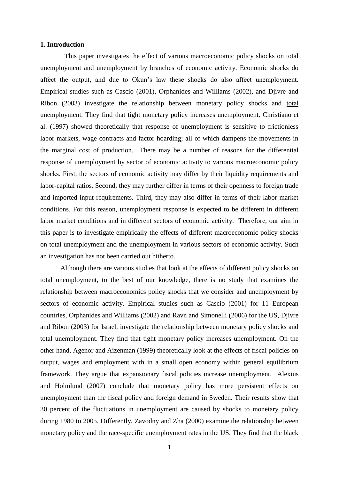#### **1. Introduction**

This paper investigates the effect of various macroeconomic policy shocks on total unemployment and unemployment by branches of economic activity. Economic shocks do affect the output, and due to Okun's law these shocks do also affect unemployment. Empirical studies such as Cascio (2001), Orphanides and Williams (2002), and Djivre and Ribon (2003) investigate the relationship between monetary policy shocks and total unemployment. They find that tight monetary policy increases unemployment. Christiano et al. (1997) showed theoretically that response of unemployment is sensitive to frictionless labor markets, wage contracts and factor hoarding; all of which dampens the movements in the marginal cost of production. There may be a number of reasons for the differential response of unemployment by sector of economic activity to various macroeconomic policy shocks. First, the sectors of economic activity may differ by their liquidity requirements and labor-capital ratios. Second, they may further differ in terms of their openness to foreign trade and imported input requirements. Third, they may also differ in terms of their labor market conditions. For this reason, unemployment response is expected to be different in different labor market conditions and in different sectors of economic activity. Therefore, our aim in this paper is to investigate empirically the effects of different macroeconomic policy shocks on total unemployment and the unemployment in various sectors of economic activity. Such an investigation has not been carried out hitherto.

Although there are various studies that look at the effects of different policy shocks on total unemployment, to the best of our knowledge, there is no study that examines the relationship between macroeconomics policy shocks that we consider and unemployment by sectors of economic activity. Empirical studies such as Cascio (2001) for 11 European countries, Orphanides and Williams (2002) and Ravn and Simonelli (2006) for the US, Djivre and Ribon (2003) for Israel, investigate the relationship between monetary policy shocks and total unemployment. They find that tight monetary policy increases unemployment. On the other hand, Agenor and Aizenman (1999) theoretically look at the effects of fiscal policies on output, wages and employment with in a small open economy within general equilibrium framework. They argue that expansionary fiscal policies increase unemployment. Alexius and Holmlund (2007) conclude that monetary policy has more persistent effects on unemployment than the fiscal policy and foreign demand in Sweden. Their results show that 30 percent of the fluctuations in unemployment are caused by shocks to monetary policy during 1980 to 2005. Differently, Zavodny and Zha (2000) examine the relationship between monetary policy and the race-specific unemployment rates in the US. They find that the black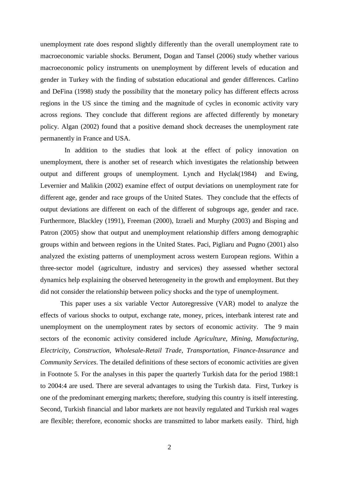unemployment rate does respond slightly differently than the overall unemployment rate to macroeconomic variable shocks. Berument, Dogan and Tansel (2006) study whether various macroeconomic policy instruments on unemployment by different levels of education and gender in Turkey with the finding of substation educational and gender differences. Carlino and DeFina (1998) study the possibility that the monetary policy has different effects across regions in the US since the timing and the magnitude of cycles in economic activity vary across regions. They conclude that different regions are affected differently by monetary policy. Algan (2002) found that a positive demand shock decreases the unemployment rate permanently in France and USA.

In addition to the studies that look at the effect of policy innovation on unemployment, there is another set of research which investigates the relationship between output and different groups of unemployment. Lynch and Hyclak(1984) and Ewing, Levernier and Malikin (2002) examine effect of output deviations on unemployment rate for different age, gender and race groups of the United States. They conclude that the effects of output deviations are different on each of the different of subgroups age, gender and race. Furthermore, Blackley (1991), Freeman (2000), Izraeli and Murphy (2003) and Bisping and Patron (2005) show that output and unemployment relationship differs among demographic groups within and between regions in the United States. Paci, Pigliaru and Pugno (2001) also analyzed the existing patterns of unemployment across western European regions. Within a three-sector model (agriculture, industry and services) they assessed whether sectoral dynamics help explaining the observed heterogeneity in the growth and employment. But they did not consider the relationship between policy shocks and the type of unemployment.

This paper uses a six variable Vector Autoregressive (VAR) model to analyze the effects of various shocks to output, exchange rate, money, prices, interbank interest rate and unemployment on the unemployment rates by sectors of economic activity. The 9 main sectors of the economic activity considered include *Agriculture, Mining, Manufacturing, Electricity, Construction, Wholesale-Retail Trade, Transportation, Finance-Insurance* and *Community Services*. The detailed definitions of these sectors of economic activities are given in Footnote 5. For the analyses in this paper the quarterly Turkish data for the period 1988:1 to 2004:4 are used. There are several advantages to using the Turkish data. First, Turkey is one of the predominant emerging markets; therefore, studying this country is itself interesting. Second, Turkish financial and labor markets are not heavily regulated and Turkish real wages are flexible; therefore, economic shocks are transmitted to labor markets easily. Third, high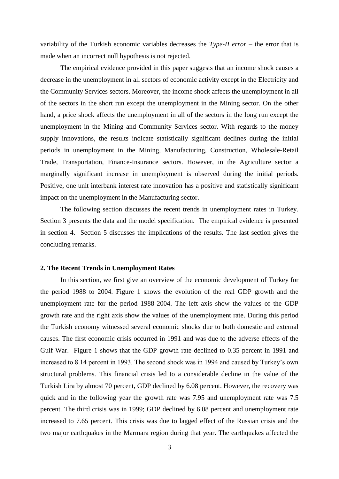variability of the Turkish economic variables decreases the *Type-II error* – the error that is made when an incorrect null hypothesis is not rejected.

The empirical evidence provided in this paper suggests that an income shock causes a decrease in the unemployment in all sectors of economic activity except in the Electricity and the Community Services sectors. Moreover, the income shock affects the unemployment in all of the sectors in the short run except the unemployment in the Mining sector. On the other hand, a price shock affects the unemployment in all of the sectors in the long run except the unemployment in the Mining and Community Services sector. With regards to the money supply innovations, the results indicate statistically significant declines during the initial periods in unemployment in the Mining, Manufacturing, Construction, Wholesale-Retail Trade, Transportation, Finance-Insurance sectors. However, in the Agriculture sector a marginally significant increase in unemployment is observed during the initial periods. Positive, one unit interbank interest rate innovation has a positive and statistically significant impact on the unemployment in the Manufacturing sector.

The following section discusses the recent trends in unemployment rates in Turkey. Section 3 presents the data and the model specification. The empirical evidence is presented in section 4. Section 5 discusses the implications of the results. The last section gives the concluding remarks.

#### **2. The Recent Trends in Unemployment Rates**

In this section, we first give an overview of the economic development of Turkey for the period 1988 to 2004. Figure 1 shows the evolution of the real GDP growth and the unemployment rate for the period 1988-2004. The left axis show the values of the GDP growth rate and the right axis show the values of the unemployment rate. During this period the Turkish economy witnessed several economic shocks due to both domestic and external causes. The first economic crisis occurred in 1991 and was due to the adverse effects of the Gulf War. Figure 1 shows that the GDP growth rate declined to 0.35 percent in 1991 and increased to 8.14 percent in 1993. The second shock was in 1994 and caused by Turkey's own structural problems. This financial crisis led to a considerable decline in the value of the Turkish Lira by almost 70 percent, GDP declined by 6.08 percent. However, the recovery was quick and in the following year the growth rate was 7.95 and unemployment rate was 7.5 percent. The third crisis was in 1999; GDP declined by 6.08 percent and unemployment rate increased to 7.65 percent. This crisis was due to lagged effect of the Russian crisis and the two major earthquakes in the Marmara region during that year. The earthquakes affected the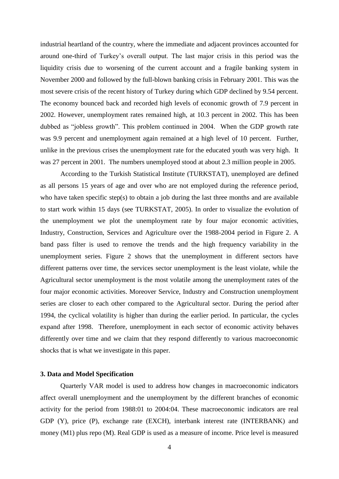industrial heartland of the country, where the immediate and adjacent provinces accounted for around one-third of Turkey's overall output. The last major crisis in this period was the liquidity crisis due to worsening of the current account and a fragile banking system in November 2000 and followed by the full-blown banking crisis in February 2001. This was the most severe crisis of the recent history of Turkey during which GDP declined by 9.54 percent. The economy bounced back and recorded high levels of economic growth of 7.9 percent in 2002. However, unemployment rates remained high, at 10.3 percent in 2002. This has been dubbed as "jobless growth". This problem continued in 2004. When the GDP growth rate was 9.9 percent and unemployment again remained at a high level of 10 percent. Further, unlike in the previous crises the unemployment rate for the educated youth was very high. It was 27 percent in 2001. The numbers unemployed stood at about 2.3 million people in 2005.

According to the Turkish Statistical Institute (TURKSTAT), unemployed are defined as all persons 15 years of age and over who are not employed during the reference period, who have taken specific step(s) to obtain a job during the last three months and are available to start work within 15 days (see TURKSTAT, 2005). In order to visualize the evolution of the unemployment we plot the unemployment rate by four major economic activities, Industry, Construction, Services and Agriculture over the 1988-2004 period in Figure 2. A band pass filter is used to remove the trends and the high frequency variability in the unemployment series. Figure 2 shows that the unemployment in different sectors have different patterns over time, the services sector unemployment is the least violate, while the Agricultural sector unemployment is the most volatile among the unemployment rates of the four major economic activities. Moreover Service, Industry and Construction unemployment series are closer to each other compared to the Agricultural sector. During the period after 1994, the cyclical volatility is higher than during the earlier period. In particular, the cycles expand after 1998. Therefore, unemployment in each sector of economic activity behaves differently over time and we claim that they respond differently to various macroeconomic shocks that is what we investigate in this paper.

#### **3. Data and Model Specification**

Quarterly VAR model is used to address how changes in macroeconomic indicators affect overall unemployment and the unemployment by the different branches of economic activity for the period from 1988:01 to 2004:04. These macroeconomic indicators are real GDP (Y), price (P), exchange rate (EXCH), interbank interest rate (INTERBANK) and money (M1) plus repo (M). Real GDP is used as a measure of income. Price level is measured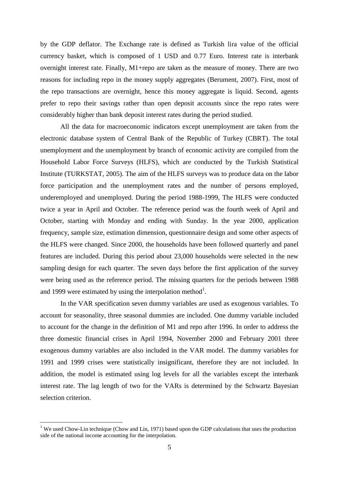by the GDP deflator. The Exchange rate is defined as Turkish lira value of the official currency basket, which is composed of 1 USD and 0.77 Euro. Interest rate is interbank overnight interest rate. Finally, M1+repo are taken as the measure of money. There are two reasons for including repo in the money supply aggregates (Berument, 2007). First, most of the repo transactions are overnight, hence this money aggregate is liquid. Second, agents prefer to repo their savings rather than open deposit accounts since the repo rates were considerably higher than bank deposit interest rates during the period studied.

All the data for macroeconomic indicators except unemployment are taken from the electronic database system of Central Bank of the Republic of Turkey (CBRT). The total unemployment and the unemployment by branch of economic activity are compiled from the Household Labor Force Surveys (HLFS), which are conducted by the Turkish Statistical Institute (TURKSTAT, 2005). The aim of the HLFS surveys was to produce data on the labor force participation and the unemployment rates and the number of persons employed, underemployed and unemployed. During the period 1988-1999, The HLFS were conducted twice a year in April and October. The reference period was the fourth week of April and October, starting with Monday and ending with Sunday. In the year 2000, application frequency, sample size, estimation dimension, questionnaire design and some other aspects of the HLFS were changed. Since 2000, the households have been followed quarterly and panel features are included. During this period about 23,000 households were selected in the new sampling design for each quarter. The seven days before the first application of the survey were being used as the reference period. The missing quarters for the periods between 1988 and 1999 were estimated by using the interpolation method<sup>1</sup>.

In the VAR specification seven dummy variables are used as exogenous variables. To account for seasonality, three seasonal dummies are included. One dummy variable included to account for the change in the definition of M1 and repo after 1996. In order to address the three domestic financial crises in April 1994, November 2000 and February 2001 three exogenous dummy variables are also included in the VAR model. The dummy variables for 1991 and 1999 crises were statistically insignificant, therefore they are not included. In addition, the model is estimated using log levels for all the variables except the interbank interest rate. The lag length of two for the VARs is determined by the Schwartz Bayesian selection criterion.

<u>.</u>

<sup>&</sup>lt;sup>1</sup> We used Chow-Lin technique (Chow and Lin, 1971) based upon the GDP calculations that uses the production side of the national income accounting for the interpolation.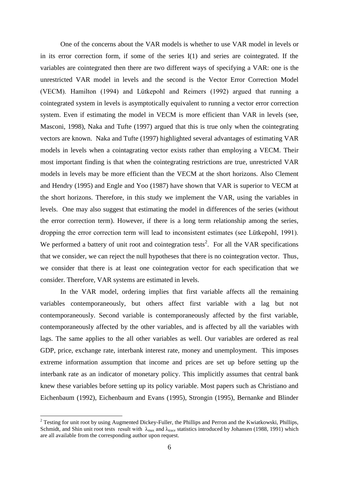One of the concerns about the VAR models is whether to use VAR model in levels or in its error correction form, if some of the series I(1) and series are cointegrated. If the variables are cointegrated then there are two different ways of specifying a VAR: one is the unrestricted VAR model in levels and the second is the Vector Error Correction Model (VECM). Hamilton (1994) and Lütkepohl and Reimers (1992) argued that running a cointegrated system in levels is asymptotically equivalent to running a vector error correction system. Even if estimating the model in VECM is more efficient than VAR in levels (see, Masconi, 1998), Naka and Tufte (1997) argued that this is true only when the cointegrating vectors are known. Naka and Tufte (1997) highlighted several advantages of estimating VAR models in levels when a cointagrating vector exists rather than employing a VECM. Their most important finding is that when the cointegrating restrictions are true, unrestricted VAR models in levels may be more efficient than the VECM at the short horizons. Also Clement and Hendry (1995) and Engle and Yoo (1987) have shown that VAR is superior to VECM at the short horizons. Therefore, in this study we implement the VAR, using the variables in levels. One may also suggest that estimating the model in differences of the series (without the error correction term). However, if there is a long term relationship among the series, dropping the error correction term will lead to inconsistent estimates (see Lütkepohl, 1991). We performed a battery of unit root and cointegration tests<sup>2</sup>. For all the VAR specifications that we consider, we can reject the null hypotheses that there is no cointegration vector. Thus, we consider that there is at least one cointegration vector for each specification that we consider. Therefore, VAR systems are estimated in levels.

In the VAR model, ordering implies that first variable affects all the remaining variables contemporaneously, but others affect first variable with a lag but not contemporaneously. Second variable is contemporaneously affected by the first variable, contemporaneously affected by the other variables, and is affected by all the variables with lags. The same applies to the all other variables as well. Our variables are ordered as real GDP, price, exchange rate, interbank interest rate, money and unemployment. This imposes extreme information assumption that income and prices are set up before setting up the interbank rate as an indicator of monetary policy. This implicitly assumes that central bank knew these variables before setting up its policy variable. Most papers such as Christiano and Eichenbaum (1992), Eichenbaum and Evans (1995), Strongin (1995), Bernanke and Blinder

<sup>&</sup>lt;sup>2</sup> Testing for unit root by using Augmented Dickey-Fuller, the Phillips and Perron and the Kwiatkowski, Phillips, Schmidt, and Shin unit root tests result with  $\lambda_{\text{max}}$  and  $\lambda_{\text{trace}}$  statistics introduced by Johansen (1988, 1991) which are all available from the corresponding author upon request.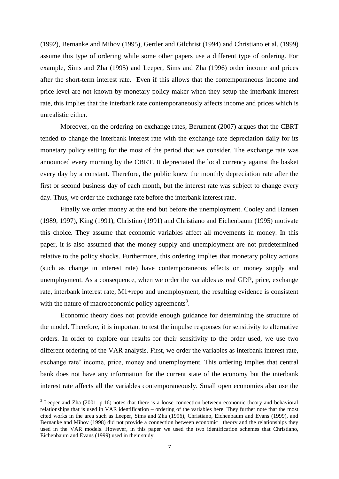(1992), Bernanke and Mihov (1995), Gertler and Gilchrist (1994) and Christiano et al. (1999) assume this type of ordering while some other papers use a different type of ordering. For example, Sims and Zha (1995) and Leeper, Sims and Zha (1996) order income and prices after the short-term interest rate. Even if this allows that the contemporaneous income and price level are not known by monetary policy maker when they setup the interbank interest rate, this implies that the interbank rate contemporaneously affects income and prices which is unrealistic either.

Moreover, on the ordering on exchange rates, Berument (2007) argues that the CBRT tended to change the interbank interest rate with the exchange rate depreciation daily for its monetary policy setting for the most of the period that we consider. The exchange rate was announced every morning by the CBRT. It depreciated the local currency against the basket every day by a constant. Therefore, the public knew the monthly depreciation rate after the first or second business day of each month, but the interest rate was subject to change every day. Thus, we order the exchange rate before the interbank interest rate.

Finally we order money at the end but before the unemployment. Cooley and Hansen (1989, 1997), King (1991), Christino (1991) and Christiano and Eichenbaum (1995) motivate this choice. They assume that economic variables affect all movements in money. In this paper, it is also assumed that the money supply and unemployment are not predetermined relative to the policy shocks. Furthermore, this ordering implies that monetary policy actions (such as change in interest rate) have contemporaneous effects on money supply and unemployment. As a consequence, when we order the variables as real GDP, price, exchange rate, interbank interest rate, M1+repo and unemployment, the resulting evidence is consistent with the nature of macroeconomic policy agreements<sup>3</sup>.

Economic theory does not provide enough guidance for determining the structure of the model. Therefore, it is important to test the impulse responses for sensitivity to alternative orders. In order to explore our results for their sensitivity to the order used, we use two different ordering of the VAR analysis. First, we order the variables as interbank interest rate, exchange rate' income, price, money and unemployment. This ordering implies that central bank does not have any information for the current state of the economy but the interbank interest rate affects all the variables contemporaneously. Small open economies also use the

<u>.</u>

<sup>&</sup>lt;sup>3</sup> Leeper and Zha (2001, p.16) notes that there is a loose connection between economic theory and behavioral relationships that is used in VAR identification – ordering of the variables here. They further note that the most cited works in the area such as Leeper, Sims and Zha (1996), Christiano, Eichenbaum and Evans (1999), and Bernanke and Mihov (1998) did not provide a connection between economic theory and the relationships they used in the VAR models. However, in this paper we used the two identification schemes that Christiano, Eichenbaum and Evans (1999) used in their study.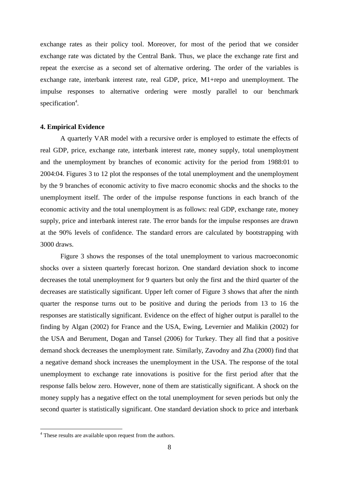exchange rates as their policy tool. Moreover, for most of the period that we consider exchange rate was dictated by the Central Bank. Thus, we place the exchange rate first and repeat the exercise as a second set of alternative ordering. The order of the variables is exchange rate, interbank interest rate, real GDP, price, M1+repo and unemployment. The impulse responses to alternative ordering were mostly parallel to our benchmark specification<sup>4</sup>.

#### **4. Empirical Evidence**

A quarterly VAR model with a recursive order is employed to estimate the effects of real GDP, price, exchange rate, interbank interest rate, money supply, total unemployment and the unemployment by branches of economic activity for the period from 1988:01 to 2004:04. Figures 3 to 12 plot the responses of the total unemployment and the unemployment by the 9 branches of economic activity to five macro economic shocks and the shocks to the unemployment itself. The order of the impulse response functions in each branch of the economic activity and the total unemployment is as follows: real GDP, exchange rate, money supply, price and interbank interest rate. The error bands for the impulse responses are drawn at the 90% levels of confidence. The standard errors are calculated by bootstrapping with 3000 draws.

Figure 3 shows the responses of the total unemployment to various macroeconomic shocks over a sixteen quarterly forecast horizon. One standard deviation shock to income decreases the total unemployment for 9 quarters but only the first and the third quarter of the decreases are statistically significant. Upper left corner of Figure 3 shows that after the ninth quarter the response turns out to be positive and during the periods from 13 to 16 the responses are statistically significant. Evidence on the effect of higher output is parallel to the finding by Algan (2002) for France and the USA, Ewing, Levernier and Malikin (2002) for the USA and Berument, Dogan and Tansel (2006) for Turkey. They all find that a positive demand shock decreases the unemployment rate. Similarly, Zavodny and Zha (2000) find that a negative demand shock increases the unemployment in the USA. The response of the total unemployment to exchange rate innovations is positive for the first period after that the response falls below zero. However, none of them are statistically significant. A shock on the money supply has a negative effect on the total unemployment for seven periods but only the second quarter is statistically significant. One standard deviation shock to price and interbank

<sup>&</sup>lt;sup>4</sup> These results are available upon request from the authors.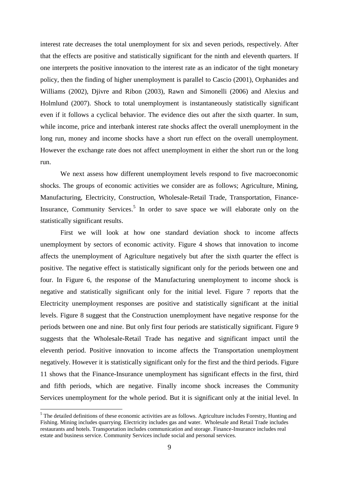interest rate decreases the total unemployment for six and seven periods, respectively. After that the effects are positive and statistically significant for the ninth and eleventh quarters. If one interprets the positive innovation to the interest rate as an indicator of the tight monetary policy, then the finding of higher unemployment is parallel to Cascio (2001), Orphanides and Williams (2002), Djivre and Ribon (2003), Rawn and Simonelli (2006) and Alexius and Holmlund (2007). Shock to total unemployment is instantaneously statistically significant even if it follows a cyclical behavior. The evidence dies out after the sixth quarter. In sum, while income, price and interbank interest rate shocks affect the overall unemployment in the long run, money and income shocks have a short run effect on the overall unemployment. However the exchange rate does not affect unemployment in either the short run or the long run.

We next assess how different unemployment levels respond to five macroeconomic shocks. The groups of economic activities we consider are as follows; Agriculture, Mining, Manufacturing, Electricity, Construction, Wholesale-Retail Trade, Transportation, Finance-Insurance, Community Services.<sup>5</sup> In order to save space we will elaborate only on the statistically significant results.

First we will look at how one standard deviation shock to income affects unemployment by sectors of economic activity. Figure 4 shows that innovation to income affects the unemployment of Agriculture negatively but after the sixth quarter the effect is positive. The negative effect is statistically significant only for the periods between one and four. In Figure 6, the response of the Manufacturing unemployment to income shock is negative and statistically significant only for the initial level. Figure 7 reports that the Electricity unemployment responses are positive and statistically significant at the initial levels. Figure 8 suggest that the Construction unemployment have negative response for the periods between one and nine. But only first four periods are statistically significant. Figure 9 suggests that the Wholesale-Retail Trade has negative and significant impact until the eleventh period. Positive innovation to income affects the Transportation unemployment negatively. However it is statistically significant only for the first and the third periods. Figure 11 shows that the Finance-Insurance unemployment has significant effects in the first, third and fifth periods, which are negative. Finally income shock increases the Community Services unemployment for the whole period. But it is significant only at the initial level. In

 $<sup>5</sup>$  The detailed definitions of these economic activities are as follows. Agriculture includes Forestry, Hunting and</sup> Fishing. Mining includes quarrying. Electricity includes gas and water. Wholesale and Retail Trade includes restaurants and hotels. Transportation includes communication and storage. Finance-Insurance includes real estate and business service. Community Services include social and personal services.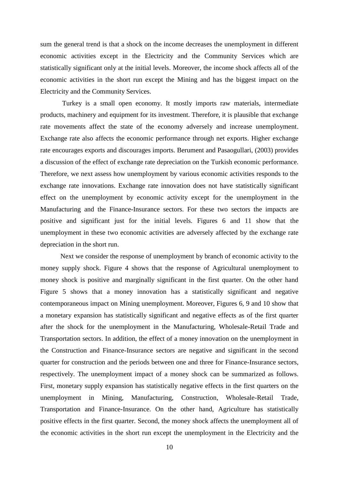sum the general trend is that a shock on the income decreases the unemployment in different economic activities except in the Electricity and the Community Services which are statistically significant only at the initial levels. Moreover, the income shock affects all of the economic activities in the short run except the Mining and has the biggest impact on the Electricity and the Community Services.

Turkey is a small open economy. It mostly imports raw materials, intermediate products, machinery and equipment for its investment. Therefore, it is plausible that exchange rate movements affect the state of the economy adversely and increase unemployment. Exchange rate also affects the economic performance through net exports. Higher exchange rate encourages exports and discourages imports. Berument and Pasaogullari, (2003) provides a discussion of the effect of exchange rate depreciation on the Turkish economic performance. Therefore, we next assess how unemployment by various economic activities responds to the exchange rate innovations. Exchange rate innovation does not have statistically significant effect on the unemployment by economic activity except for the unemployment in the Manufacturing and the Finance-Insurance sectors. For these two sectors the impacts are positive and significant just for the initial levels. Figures 6 and 11 show that the unemployment in these two economic activities are adversely affected by the exchange rate depreciation in the short run.

Next we consider the response of unemployment by branch of economic activity to the money supply shock. Figure 4 shows that the response of Agricultural unemployment to money shock is positive and marginally significant in the first quarter. On the other hand Figure 5 shows that a money innovation has a statistically significant and negative contemporaneous impact on Mining unemployment. Moreover, Figures 6, 9 and 10 show that a monetary expansion has statistically significant and negative effects as of the first quarter after the shock for the unemployment in the Manufacturing, Wholesale-Retail Trade and Transportation sectors. In addition, the effect of a money innovation on the unemployment in the Construction and Finance-Insurance sectors are negative and significant in the second quarter for construction and the periods between one and three for Finance-Insurance sectors, respectively. The unemployment impact of a money shock can be summarized as follows. First, monetary supply expansion has statistically negative effects in the first quarters on the unemployment in Mining, Manufacturing, Construction, Wholesale-Retail Trade, Transportation and Finance-Insurance. On the other hand, Agriculture has statistically positive effects in the first quarter. Second, the money shock affects the unemployment all of the economic activities in the short run except the unemployment in the Electricity and the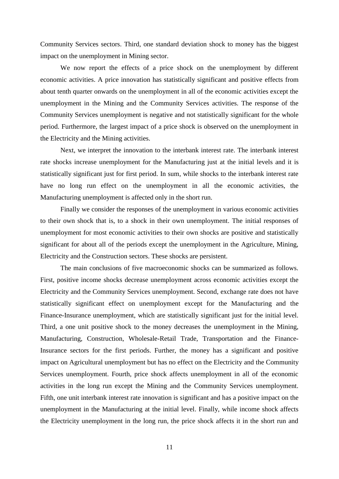Community Services sectors. Third, one standard deviation shock to money has the biggest impact on the unemployment in Mining sector.

We now report the effects of a price shock on the unemployment by different economic activities. A price innovation has statistically significant and positive effects from about tenth quarter onwards on the unemployment in all of the economic activities except the unemployment in the Mining and the Community Services activities. The response of the Community Services unemployment is negative and not statistically significant for the whole period. Furthermore, the largest impact of a price shock is observed on the unemployment in the Electricity and the Mining activities.

Next, we interpret the innovation to the interbank interest rate. The interbank interest rate shocks increase unemployment for the Manufacturing just at the initial levels and it is statistically significant just for first period. In sum, while shocks to the interbank interest rate have no long run effect on the unemployment in all the economic activities, the Manufacturing unemployment is affected only in the short run.

Finally we consider the responses of the unemployment in various economic activities to their own shock that is, to a shock in their own unemployment. The initial responses of unemployment for most economic activities to their own shocks are positive and statistically significant for about all of the periods except the unemployment in the Agriculture, Mining, Electricity and the Construction sectors. These shocks are persistent.

The main conclusions of five macroeconomic shocks can be summarized as follows. First, positive income shocks decrease unemployment across economic activities except the Electricity and the Community Services unemployment. Second, exchange rate does not have statistically significant effect on unemployment except for the Manufacturing and the Finance-Insurance unemployment, which are statistically significant just for the initial level. Third, a one unit positive shock to the money decreases the unemployment in the Mining, Manufacturing, Construction, Wholesale-Retail Trade, Transportation and the Finance-Insurance sectors for the first periods. Further, the money has a significant and positive impact on Agricultural unemployment but has no effect on the Electricity and the Community Services unemployment. Fourth, price shock affects unemployment in all of the economic activities in the long run except the Mining and the Community Services unemployment. Fifth, one unit interbank interest rate innovation is significant and has a positive impact on the unemployment in the Manufacturing at the initial level. Finally, while income shock affects the Electricity unemployment in the long run, the price shock affects it in the short run and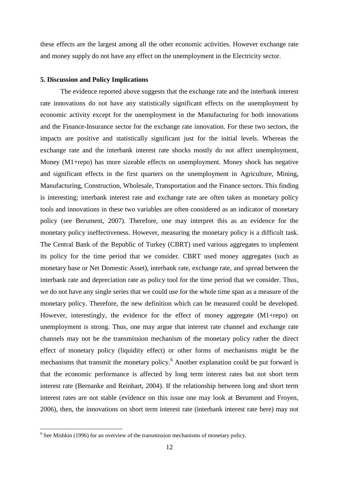these effects are the largest among all the other economic activities. However exchange rate and money supply do not have any effect on the unemployment in the Electricity sector.

#### **5. Discussion and Policy Implications**

The evidence reported above suggests that the exchange rate and the interbank interest rate innovations do not have any statistically significant effects on the unemployment by economic activity except for the unemployment in the Manufacturing for both innovations and the Finance-Insurance sector for the exchange rate innovation. For these two sectors, the impacts are positive and statistically significant just for the initial levels. Whereas the exchange rate and the interbank interest rate shocks mostly do not affect unemployment, Money (M1+repo) has more sizeable effects on unemployment. Money shock has negative and significant effects in the first quarters on the unemployment in Agriculture, Mining, Manufacturing, Construction, Wholesale, Transportation and the Finance sectors. This finding is interesting; interbank interest rate and exchange rate are often taken as monetary policy tools and innovations in these two variables are often considered as an indicator of monetary policy (see Berument, 2007). Therefore, one may interpret this as an evidence for the monetary policy ineffectiveness. However, measuring the monetary policy is a difficult task. The Central Bank of the Republic of Turkey (CBRT) used various aggregates to implement its policy for the time period that we consider. CBRT used money aggregates (such as monetary base or Net Domestic Asset), interbank rate, exchange rate, and spread between the interbank rate and depreciation rate as policy tool for the time period that we consider. Thus, we do not have any single series that we could use for the whole time span as a measure of the monetary policy. Therefore, the new definition which can be measured could be developed. However, interestingly, the evidence for the effect of money aggregate (M1+repo) on unemployment is strong. Thus, one may argue that interest rate channel and exchange rate channels may not be the transmission mechanism of the monetary policy rather the direct effect of monetary policy (liquidity effect) or other forms of mechanisms might be the mechanisms that transmit the monetary policy.<sup>6</sup> Another explanation could be put forward is that the economic performance is affected by long term interest rates but not short term interest rate (Bernanke and Reinhart, 2004). If the relationship between long and short term interest rates are not stable (evidence on this issue one may look at Berument and Froyen, 2006), then, the innovations on short term interest rate (interbank interest rate here) may not

 $<sup>6</sup>$  See Mishkin (1996) for an overview of the transmission mechanisms of monetary policy.</sup>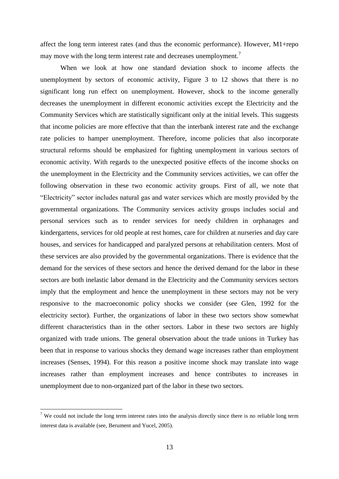affect the long term interest rates (and thus the economic performance). However, M1+repo may move with the long term interest rate and decreases unemployment.<sup>7</sup>

When we look at how one standard deviation shock to income affects the unemployment by sectors of economic activity, Figure 3 to 12 shows that there is no significant long run effect on unemployment. However, shock to the income generally decreases the unemployment in different economic activities except the Electricity and the Community Services which are statistically significant only at the initial levels. This suggests that income policies are more effective that than the interbank interest rate and the exchange rate policies to hamper unemployment. Therefore, income policies that also incorporate structural reforms should be emphasized for fighting unemployment in various sectors of economic activity. With regards to the unexpected positive effects of the income shocks on the unemployment in the Electricity and the Community services activities, we can offer the following observation in these two economic activity groups. First of all, we note that "Electricity" sector includes natural gas and water services which are mostly provided by the governmental organizations. The Community services activity groups includes social and personal services such as to render services for needy children in orphanages and kindergartens, services for old people at rest homes, care for children at nurseries and day care houses, and services for handicapped and paralyzed persons at rehabilitation centers. Most of these services are also provided by the governmental organizations. There is evidence that the demand for the services of these sectors and hence the derived demand for the labor in these sectors are both inelastic labor demand in the Electricity and the Community services sectors imply that the employment and hence the unemployment in these sectors may not be very responsive to the macroeconomic policy shocks we consider (see Glen, 1992 for the electricity sector). Further, the organizations of labor in these two sectors show somewhat different characteristics than in the other sectors. Labor in these two sectors are highly organized with trade unions. The general observation about the trade unions in Turkey has been that in response to various shocks they demand wage increases rather than employment increases (Senses, 1994). For this reason a positive income shock may translate into wage increases rather than employment increases and hence contributes to increases in unemployment due to non-organized part of the labor in these two sectors.

 $7$  We could not include the long term interest rates into the analysis directly since there is no reliable long term interest data is available (see, Berument and Yucel, 2005).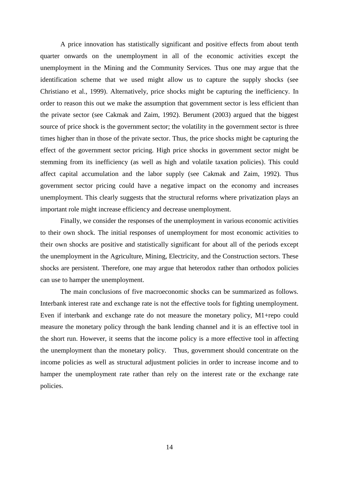A price innovation has statistically significant and positive effects from about tenth quarter onwards on the unemployment in all of the economic activities except the unemployment in the Mining and the Community Services. Thus one may argue that the identification scheme that we used might allow us to capture the supply shocks (see Christiano et al., 1999). Alternatively, price shocks might be capturing the inefficiency. In order to reason this out we make the assumption that government sector is less efficient than the private sector (see Cakmak and Zaim, 1992). Berument (2003) argued that the biggest source of price shock is the government sector; the volatility in the government sector is three times higher than in those of the private sector. Thus, the price shocks might be capturing the effect of the government sector pricing. High price shocks in government sector might be stemming from its inefficiency (as well as high and volatile taxation policies). This could affect capital accumulation and the labor supply (see Cakmak and Zaim, 1992). Thus government sector pricing could have a negative impact on the economy and increases unemployment. This clearly suggests that the structural reforms where privatization plays an important role might increase efficiency and decrease unemployment.

Finally, we consider the responses of the unemployment in various economic activities to their own shock. The initial responses of unemployment for most economic activities to their own shocks are positive and statistically significant for about all of the periods except the unemployment in the Agriculture, Mining, Electricity, and the Construction sectors. These shocks are persistent. Therefore, one may argue that heterodox rather than orthodox policies can use to hamper the unemployment.

The main conclusions of five macroeconomic shocks can be summarized as follows. Interbank interest rate and exchange rate is not the effective tools for fighting unemployment. Even if interbank and exchange rate do not measure the monetary policy, M1+repo could measure the monetary policy through the bank lending channel and it is an effective tool in the short run. However, it seems that the income policy is a more effective tool in affecting the unemployment than the monetary policy. Thus, government should concentrate on the income policies as well as structural adjustment policies in order to increase income and to hamper the unemployment rate rather than rely on the interest rate or the exchange rate policies.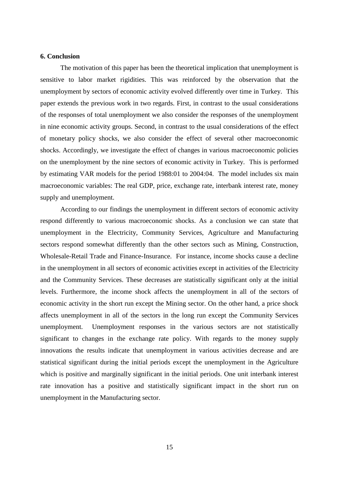#### **6. Conclusion**

The motivation of this paper has been the theoretical implication that unemployment is sensitive to labor market rigidities. This was reinforced by the observation that the unemployment by sectors of economic activity evolved differently over time in Turkey. This paper extends the previous work in two regards. First, in contrast to the usual considerations of the responses of total unemployment we also consider the responses of the unemployment in nine economic activity groups. Second, in contrast to the usual considerations of the effect of monetary policy shocks, we also consider the effect of several other macroeconomic shocks. Accordingly, we investigate the effect of changes in various macroeconomic policies on the unemployment by the nine sectors of economic activity in Turkey. This is performed by estimating VAR models for the period 1988:01 to 2004:04. The model includes six main macroeconomic variables: The real GDP, price, exchange rate, interbank interest rate, money supply and unemployment.

According to our findings the unemployment in different sectors of economic activity respond differently to various macroeconomic shocks. As a conclusion we can state that unemployment in the Electricity, Community Services, Agriculture and Manufacturing sectors respond somewhat differently than the other sectors such as Mining, Construction, Wholesale-Retail Trade and Finance-Insurance. For instance, income shocks cause a decline in the unemployment in all sectors of economic activities except in activities of the Electricity and the Community Services. These decreases are statistically significant only at the initial levels. Furthermore, the income shock affects the unemployment in all of the sectors of economic activity in the short run except the Mining sector. On the other hand, a price shock affects unemployment in all of the sectors in the long run except the Community Services unemployment. Unemployment responses in the various sectors are not statistically significant to changes in the exchange rate policy. With regards to the money supply innovations the results indicate that unemployment in various activities decrease and are statistical significant during the initial periods except the unemployment in the Agriculture which is positive and marginally significant in the initial periods. One unit interbank interest rate innovation has a positive and statistically significant impact in the short run on unemployment in the Manufacturing sector.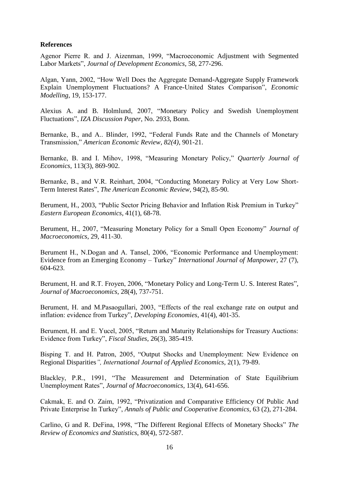#### **References**

Agenor Pierre R. and J. Aizenman, 1999, "Macroeconomic Adjustment with Segmented Labor Markets", *Journal of Development Economics*, 58, 277-296.

Algan, Yann, 2002, "How Well Does the Aggregate Demand-Aggregate Supply Framework Explain Unemployment Fluctuations? A France-United States Comparison", *Economic Modelling*, 19, 153-177.

Alexius A. and B. Holmlund, 2007, "Monetary Policy and Swedish Unemployment Fluctuations", *IZA Discussion Paper*, No. 2933, Bonn.

Bernanke, B., and A.. Blinder, 1992, "Federal Funds Rate and the Channels of Monetary Transmission," *American Economic Review*, *82(4)*, 901-21.

Bernanke, B. and I. Mihov, 1998, "Measuring Monetary Policy," *Quarterly Journal of Economics*, 113(3), 869-902.

Bernanke, B., and V.R. Reinhart, 2004, "Conducting Monetary Policy at Very Low Short-Term Interest Rates", *The American Economic Review*, 94(2), 85-90.

Berument, H., 2003, "Public Sector Pricing Behavior and Inflation Risk Premium in Turkey" *Eastern European Economics*, 41(1), 68-78.

Berument, H., 2007, "Measuring Monetary Policy for a Small Open Economy" *Journal of Macroeconomics*, 29, 411-30.

Berument H., N.Dogan and A. Tansel, 2006, "Economic Performance and Unemployment: Evidence from an Emerging Economy – Turkey" *International Journal of Manpower*, 27 (7), 604-623.

Berument, H. and R.T. Froyen, 2006, "Monetary Policy and Long-Term U. S. Interest Rates", *Journal of Macroeconomics*, 28(4), 737-751.

Berument, H. and M.Pasaogullari, 2003, "Effects of the real exchange rate on output and inflation: evidence from Turkey", *Developing Economies*, 41(4), 401-35.

Berument, H. and E. Yucel, 2005, "Return and Maturity Relationships for Treasury Auctions: Evidence from Turkey", *Fiscal Studies*, 26(3), 385-419.

Bisping T. and H. Patron, 2005, "Output Shocks and Unemployment: New Evidence on Regional Disparities*", International Journal of Applied Economics*, 2(1), 79-89.

Blackley, P.R., 1991, "The Measurement and Determination of State Equilibrium Unemployment Rates", *Journal of Macroeconomics*, 13(4), 641-656.

Cakmak, E. and O. Zaim, 1992, "Privatization and Comparative Efficiency Of Public And Private Enterprise In Turkey", *Annals of Public and Cooperative Economics*, 63 (2), 271-284.

Carlino, G and R. DeFina, 1998, "The Different Regional Effects of Monetary Shocks" *The Review of Economics and Statistics*, 80(4), 572-587.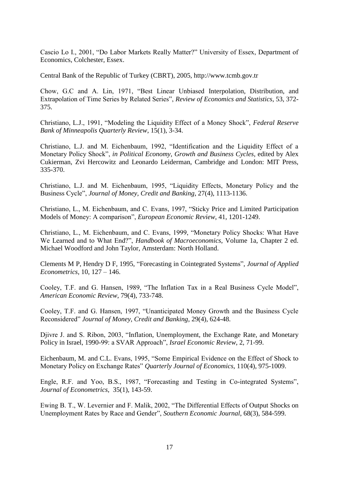Cascio Lo I., 2001, "Do Labor Markets Really Matter?" University of Essex, Department of Economics, Colchester, Essex.

Central Bank of the Republic of Turkey (CBRT), 2005, http://www.tcmb.gov.tr

Chow, G.C and A. Lin, 1971, "Best Linear Unbiased Interpolation, Distribution, and Extrapolation of Time Series by Related Series", *Review of Economics and Statistics*, 53, 372- 375.

Christiano, L.J., 1991, "Modeling the Liquidity Effect of a Money Shock", *Federal Reserve Bank of Minneapolis Quarterly Review*, 15(1), 3-34.

Christiano, L.J. and M. Eichenbaum, 1992, "Identification and the Liquidity Effect of a Monetary Policy Shock", *in Political Economy, Growth and Business Cycles*, edited by Alex Cukierman, Zvi Hercowitz and Leonardo Leiderman, Cambridge and London: MIT Press, 335-370.

Christiano, L.J. and M. Eichenbaum, 1995, "Liquidity Effects, Monetary Policy and the Business Cycle", *Journal of Money, Credit and Banking*, 27(4), 1113-1136.

Christiano, L., M. Eichenbaum, and C. Evans, 1997, "Sticky Price and Limited Participation Models of Money: A comparison", *European Economic Review*, 41, 1201-1249.

Christiano, L., M. Eichenbaum, and C. Evans, 1999, "Monetary Policy Shocks: What Have We Learned and to What End?", *Handbook of Macroeconomics*, Volume 1a, Chapter 2 ed. Michael Woodford and John Taylor, Amsterdam: North Holland.

Clements M P, Hendry D F, 1995, "Forecasting in Cointegrated Systems", *Journal of Applied Econometrics*, 10, 127 – 146.

Cooley, T.F. and G. Hansen, 1989, "The Inflation Tax in a Real Business Cycle Model", *American Economic Review*, 79(4), 733-748.

Cooley, T.F. and G. Hansen, 1997, "Unanticipated Money Growth and the Business Cycle Reconsidered" *Journal of Money, Credit and Banking*, 29(4), 624-48.

Djivre J. and S. Ribon, 2003, "Inflation, Unemployment, the Exchange Rate, and Monetary Policy in Israel, 1990-99: a SVAR Approach", *Israel Economic Review*, 2, 71-99.

Eichenbaum, M. and C.L. Evans, 1995, "Some Empirical Evidence on the Effect of Shock to Monetary Policy on Exchange Rates" *Quarterly Journal of Economics*, 110(4), 975-1009.

Engle, R.F. and Yoo, B.S., 1987, "Forecasting and Testing in Co-integrated Systems", *Journal of Econometrics*, 35(1), 143-59.

Ewing B. T., W. Levernier and F. Malik, 2002, "The Differential Effects of Output Shocks on Unemployment Rates by Race and Gender", *Southern Economic Journal*, 68(3), 584-599.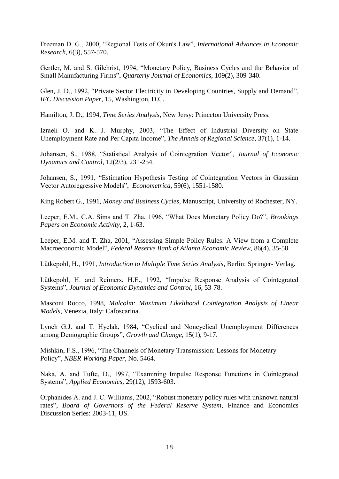Freeman D. G., 2000, "Regional Tests of Okun's Law", *International Advances in Economic Research*, 6(3), 557-570.

Gertler, M. and S. Gilchrist, 1994, "Monetary Policy, Business Cycles and the Behavior of Small Manufacturing Firms", *Quarterly Journal of Economics*, 109(2), 309-340.

Glen, J. D., 1992, "Private Sector Electricity in Developing Countries, Supply and Demand", *IFC Discussion Paper*, 15, Washington, D.C.

Hamilton, J. D., 1994, *Time Series Analysis*, New Jersy: Princeton University Press.

Izraeli O. and K. J. Murphy, 2003, "The Effect of Industrial Diversity on State Unemployment Rate and Per Capita Income", *The Annals of Regional Science*, 37(1), 1-14.

Johansen, S., 1988, "Statistical Analysis of Cointegration Vector", *Journal of Economic Dynamics and Control*, 12(2/3), 231-254.

Johansen, S., 1991, "Estimation Hypothesis Testing of Cointegration Vectors in Gaussian Vector Autoregressive Models", *Econometrica*, 59(6), 1551-1580.

King Robert G., 1991, *Money and Business Cycles*, Manuscript, University of Rochester, NY.

Leeper, E.M., C.A. Sims and T. Zha, 1996, "What Does Monetary Policy Do?", *Brookings Papers on Economic Activity*, 2, 1-63.

Leeper, E.M. and T. Zha, 2001, "Assessing Simple Policy Rules: A View from a Complete Macroeconomic Model", *Federal Reserve Bank of Atlanta Economic Review*, 86(4), 35-58.

Lütkepohl, H., 1991, *Introduction to Multiple Time Series Analysis*, Berlin: Springer- Verlag.

Lütkepohl, H. and Reimers, H.E., 1992, "Impulse Response Analysis of Cointegrated Systems", *Journal of Economic Dynamics and Control*, 16, 53-78.

Masconi Rocco, 1998, *Malcolm: Maximum Likelihood Cointegration Analysis of Linear Models*, Venezia, Italy: Cafoscarina.

Lynch G.J. and T. Hyclak, 1984, "Cyclical and Noncyclical Unemployment Differences among Demographic Groups", *Growth and Change*, 15(1), 9-17.

Mishkin, F.S., 1996, "The Channels of Monetary Transmission: Lessons for Monetary Policy", *NBER Working Paper*, No. 5464.

Naka, A. and Tufte, D., 1997, "Examining Impulse Response Functions in Cointegrated Systems", *Applied Economics*, 29(12), 1593-603.

Orphanides A. and J. C. Williams, 2002, "Robust monetary policy rules with unknown natural rates", *Board of Governors of the Federal Reserve System*, Finance and Economics Discussion Series: 2003-11, US.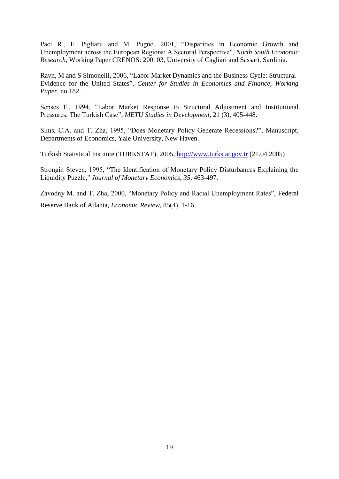Paci R., F. Pigliaru and M. Pugno, 2001, "Disparities in Economic Growth and Unemployment across the European Regions: A Sectoral Perspective", *North South Economic Research*, Working Paper CRENOS: 200103, University of Cagliari and Sassari, Sardinia.

Ravn, M and S Simonelli, 2006, "Labor Market Dynamics and the Business Cycle: Structural Evidence for the United States", *Center for Studies in Economics and Finance, Working Paper,* no 182.

Senses F., 1994, "Labor Market Response to Structural Adjustment and Institutional Pressures: The Turkish Case", *METU Studies in Development*, 21 (3), 405-448.

Sims, C.A. and T. Zha, 1995, "Does Monetary Policy Generate Recessions?", Manuscript, Departments of Economics, Yale University, New Haven.

Turkish Statistical Institute (TURKSTAT), 2005, [http://www.turkstat.gov.tr](http://www.turkstat.gov.tr/) (21.04.2005)

Strongin Steven, 1995, "The Identification of Monetary Policy Disturbances Explaining the Liquidity Puzzle," *Journal of Monetary Economics*, *35*, 463-497.

Zavodny M. and T. Zha, 2000, "Monetary Policy and Racial Unemployment Rates", Federal Reserve Bank of Atlanta, *Economic Review*, 85(4), 1-16.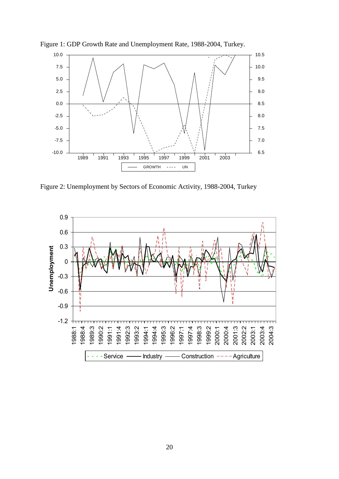

Figure 1: GDP Growth Rate and Unemployment Rate, 1988-2004, Turkey.

Figure 2: Unemployment by Sectors of Economic Activity, 1988-2004, Turkey

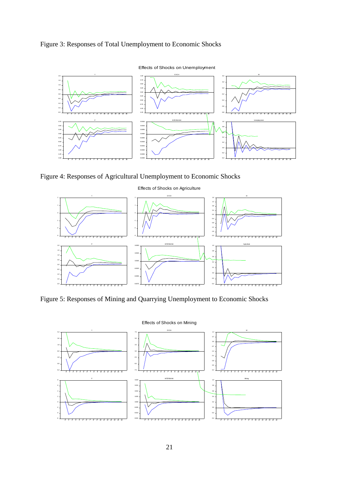



Figure 4: Responses of Agricultural Unemployment to Economic Shocks



Figure 5: Responses of Mining and Quarrying Unemployment to Economic Shocks

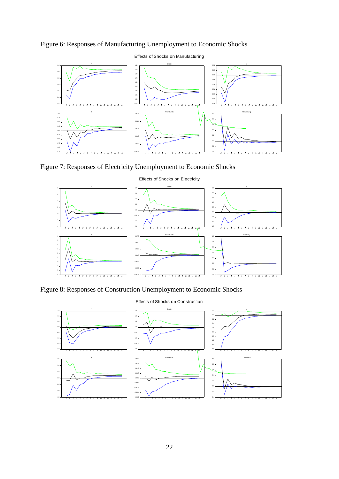Figure 6: Responses of Manufacturing Unemployment to Economic Shocks



Figure 7: Responses of Electricity Unemployment to Economic Shocks



Figure 8: Responses of Construction Unemployment to Economic Shocks

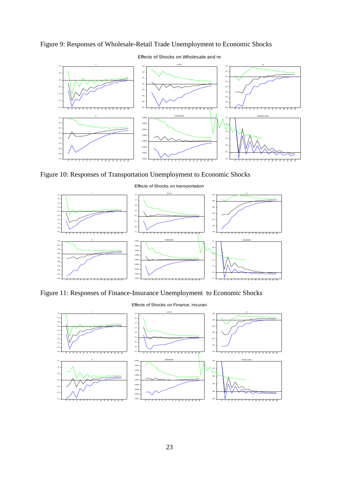



Effects of Shocks on Wholesale and re

Figure 10: Responses of Transportation Unemployment to Economic Shocks



Figure 11: Responses of Finance-Insurance Unemployment to Economic Shocks